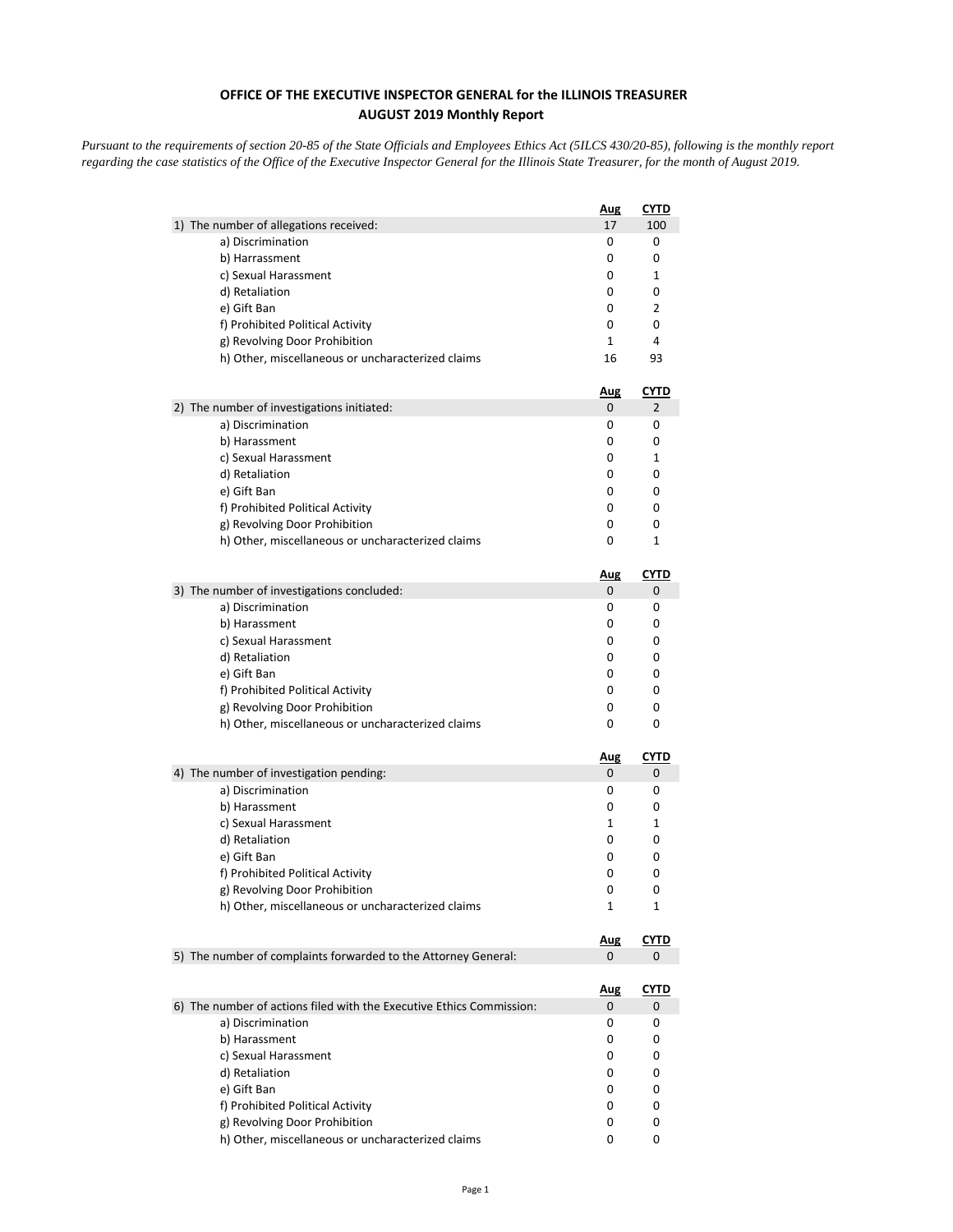## **OFFICE OF THE EXECUTIVE INSPECTOR GENERAL for the ILLINOIS TREASURER AUGUST 2019 Monthly Report**

*Pursuant to the requirements of section 20-85 of the State Officials and Employees Ethics Act (5ILCS 430/20-85), following is the monthly report regarding the case statistics of the Office of the Executive Inspector General for the Illinois State Treasurer, for the month of August 2019.* 

|                                                                      | <b>Aug</b>      | CYTD             |
|----------------------------------------------------------------------|-----------------|------------------|
| 1) The number of allegations received:                               | 17              | 100              |
| a) Discrimination                                                    | 0               | 0                |
| b) Harrassment                                                       | 0               | 0                |
| c) Sexual Harassment                                                 | 0               | 1                |
| d) Retaliation                                                       | 0               | 0                |
| e) Gift Ban                                                          | 0               | 2                |
| f) Prohibited Political Activity                                     | 0               | 0                |
| g) Revolving Door Prohibition                                        | 1               | 4                |
| h) Other, miscellaneous or uncharacterized claims                    | 16              | 93               |
|                                                                      | <u>Aug</u>      | <u>CYTD</u>      |
| 2) The number of investigations initiated:                           | 0               | 2                |
| a) Discrimination                                                    | 0               | 0                |
| b) Harassment                                                        | 0               | 0                |
| c) Sexual Harassment                                                 | 0               | 1                |
| d) Retaliation                                                       | 0               | 0                |
| e) Gift Ban                                                          | 0               | 0                |
| f) Prohibited Political Activity                                     | 0               | 0                |
| g) Revolving Door Prohibition                                        | 0               | 0                |
| h) Other, miscellaneous or uncharacterized claims                    | 0               | 1                |
|                                                                      | <u>Aug</u>      | <u>CYTD</u>      |
| 3) The number of investigations concluded:                           | 0               | 0                |
| a) Discrimination                                                    | 0               | 0                |
| b) Harassment                                                        | 0               | 0                |
| c) Sexual Harassment                                                 | 0               | 0                |
| d) Retaliation                                                       | 0               | 0                |
| e) Gift Ban                                                          | 0               | 0                |
| f) Prohibited Political Activity                                     | 0               | 0                |
| g) Revolving Door Prohibition                                        | 0               | 0                |
| h) Other, miscellaneous or uncharacterized claims                    | 0               | 0                |
|                                                                      | <u>Aug</u>      | <u>CYTD</u>      |
| 4) The number of investigation pending:                              | 0               | 0                |
| a) Discrimination                                                    | 0               | 0                |
| b) Harassment                                                        | 0               | 0                |
| c) Sexual Harassment                                                 | 1               | 1                |
| d) Retaliation                                                       | 0               | 0                |
| e) Gift Ban                                                          | 0               | 0                |
| f) Prohibited Political Activity                                     | 0               | 0                |
| g) Revolving Door Prohibition                                        | 0               | 0                |
| h) Other, miscellaneous or uncharacterized claims                    | 1               | 1                |
|                                                                      | <u>Aug</u>      | <u>CYTD</u>      |
| 5) The number of complaints forwarded to the Attorney General:       | 0               | 0                |
|                                                                      |                 |                  |
| 6) The number of actions filed with the Executive Ethics Commission: | <u>Aug</u><br>0 | <b>CYTD</b><br>0 |
| a) Discrimination                                                    | 0               | 0                |
| b) Harassment                                                        | 0               | 0                |
| c) Sexual Harassment                                                 | 0               | 0                |
| d) Retaliation                                                       | 0               | 0                |
| e) Gift Ban                                                          | 0               | 0                |
| f) Prohibited Political Activity                                     | 0               | 0                |
| g) Revolving Door Prohibition                                        | 0               | 0                |
| h) Other, miscellaneous or uncharacterized claims                    | 0               | 0                |
|                                                                      |                 |                  |